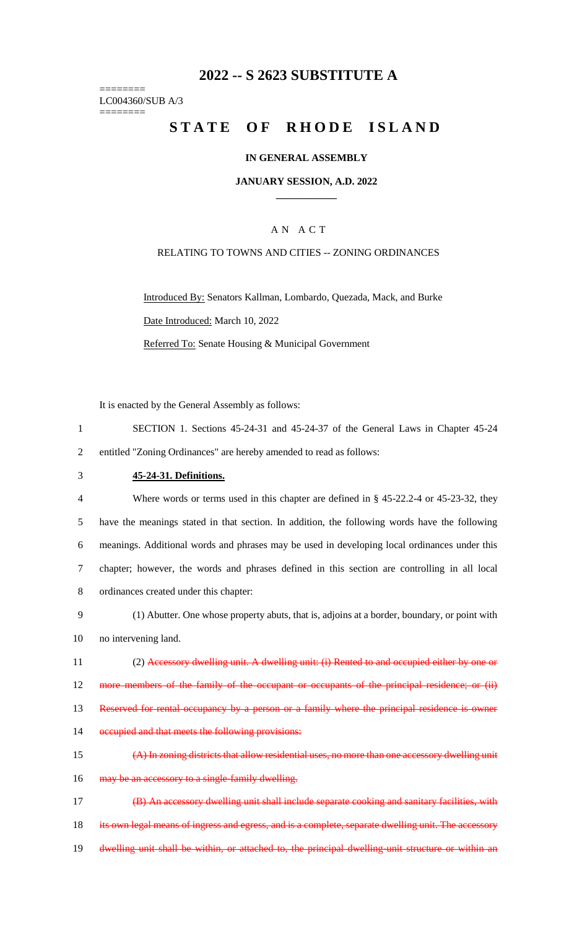## **2022 -- S 2623 SUBSTITUTE A**

======== LC004360/SUB A/3 ========

# **STATE OF RHODE ISLAND**

### **IN GENERAL ASSEMBLY**

### **JANUARY SESSION, A.D. 2022 \_\_\_\_\_\_\_\_\_\_\_\_**

### A N A C T

### RELATING TO TOWNS AND CITIES -- ZONING ORDINANCES

Introduced By: Senators Kallman, Lombardo, Quezada, Mack, and Burke Date Introduced: March 10, 2022 Referred To: Senate Housing & Municipal Government

It is enacted by the General Assembly as follows:

- 1 SECTION 1. Sections 45-24-31 and 45-24-37 of the General Laws in Chapter 45-24 2 entitled "Zoning Ordinances" are hereby amended to read as follows:
- 

### 3 **45-24-31. Definitions.**

 Where words or terms used in this chapter are defined in § 45-22.2-4 or 45-23-32, they have the meanings stated in that section. In addition, the following words have the following meanings. Additional words and phrases may be used in developing local ordinances under this chapter; however, the words and phrases defined in this section are controlling in all local ordinances created under this chapter:

- 9 (1) Abutter. One whose property abuts, that is, adjoins at a border, boundary, or point with 10 no intervening land.
- 11 (2) Accessory dwelling unit. A dwelling unit: (i) Rented to and occupied either by one or 12 more members of the family of the occupant or occupants of the principal residence; or (ii) 13 Reserved for rental occupancy by a person or a family where the principal residence is owner
- 14 occupied and that meets the following provisions:
- 15 (A) In zoning districts that allow residential uses, no more than one accessory dwelling unit 16 may be an accessory to a single-family dwelling.

17 (B) An accessory dwelling unit shall include separate cooking and sanitary facilities, with 18 its own legal means of ingress and egress, and is a complete, separate dwelling unit. The accessory 19 dwelling unit shall be within, or attached to, the principal dwelling unit structure or within an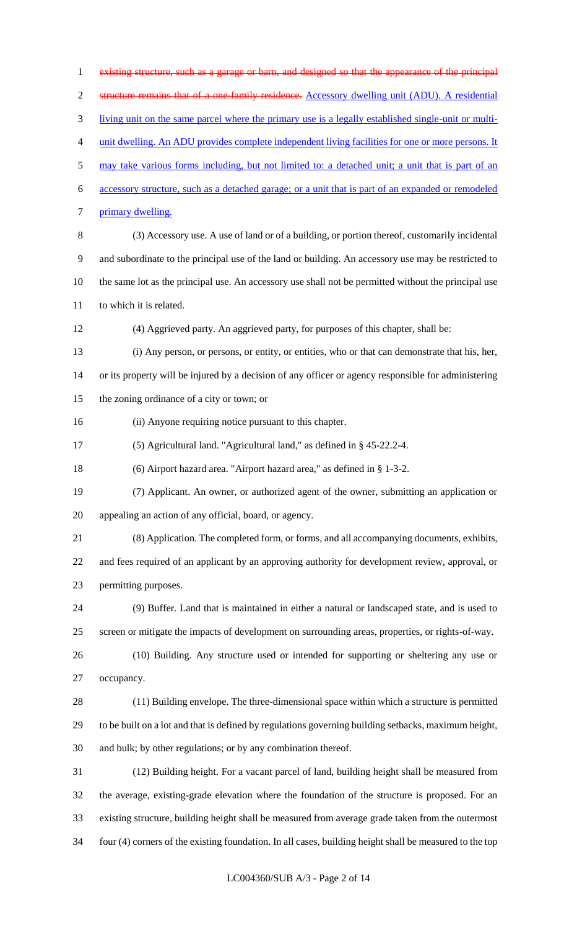existing structure, such as a garage or barn, and designed so that the appearance of the principal structure remains that of a one-family residence. Accessory dwelling unit (ADU). A residential living unit on the same parcel where the primary use is a legally established single-unit or multi- unit dwelling. An ADU provides complete independent living facilities for one or more persons. It may take various forms including, but not limited to: a detached unit; a unit that is part of an accessory structure, such as a detached garage; or a unit that is part of an expanded or remodeled primary dwelling. (3) Accessory use. A use of land or of a building, or portion thereof, customarily incidental and subordinate to the principal use of the land or building. An accessory use may be restricted to the same lot as the principal use. An accessory use shall not be permitted without the principal use to which it is related. (4) Aggrieved party. An aggrieved party, for purposes of this chapter, shall be: (i) Any person, or persons, or entity, or entities, who or that can demonstrate that his, her, or its property will be injured by a decision of any officer or agency responsible for administering the zoning ordinance of a city or town; or (ii) Anyone requiring notice pursuant to this chapter. (5) Agricultural land. "Agricultural land," as defined in § 45-22.2-4. (6) Airport hazard area. "Airport hazard area," as defined in § 1-3-2. (7) Applicant. An owner, or authorized agent of the owner, submitting an application or appealing an action of any official, board, or agency. (8) Application. The completed form, or forms, and all accompanying documents, exhibits, and fees required of an applicant by an approving authority for development review, approval, or permitting purposes. (9) Buffer. Land that is maintained in either a natural or landscaped state, and is used to screen or mitigate the impacts of development on surrounding areas, properties, or rights-of-way. (10) Building. Any structure used or intended for supporting or sheltering any use or occupancy. (11) Building envelope. The three-dimensional space within which a structure is permitted to be built on a lot and that is defined by regulations governing building setbacks, maximum height, and bulk; by other regulations; or by any combination thereof. (12) Building height. For a vacant parcel of land, building height shall be measured from the average, existing-grade elevation where the foundation of the structure is proposed. For an existing structure, building height shall be measured from average grade taken from the outermost four (4) corners of the existing foundation. In all cases, building height shall be measured to the top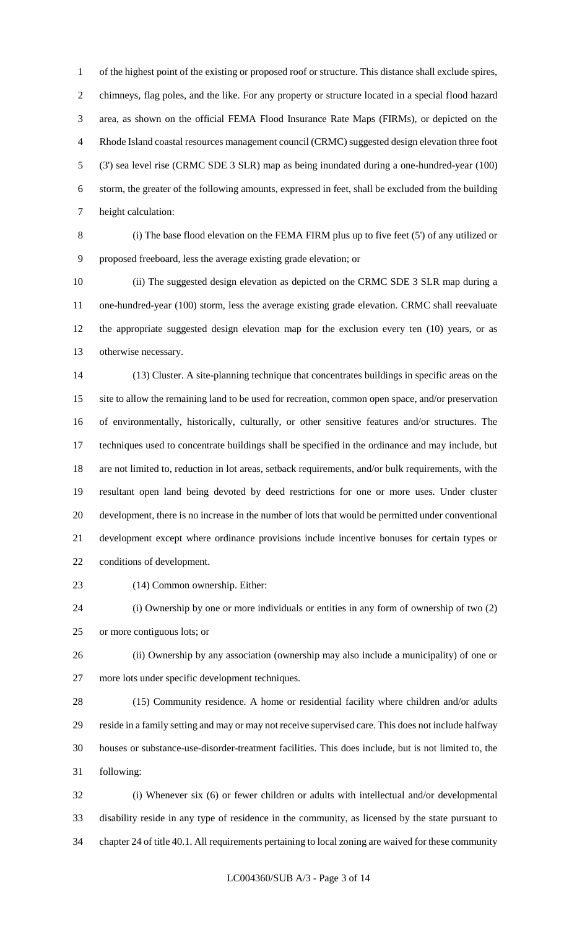of the highest point of the existing or proposed roof or structure. This distance shall exclude spires, chimneys, flag poles, and the like. For any property or structure located in a special flood hazard area, as shown on the official FEMA Flood Insurance Rate Maps (FIRMs), or depicted on the Rhode Island coastal resources management council (CRMC) suggested design elevation three foot (3') sea level rise (CRMC SDE 3 SLR) map as being inundated during a one-hundred-year (100) storm, the greater of the following amounts, expressed in feet, shall be excluded from the building height calculation:

 (i) The base flood elevation on the FEMA FIRM plus up to five feet (5') of any utilized or proposed freeboard, less the average existing grade elevation; or

 (ii) The suggested design elevation as depicted on the CRMC SDE 3 SLR map during a one-hundred-year (100) storm, less the average existing grade elevation. CRMC shall reevaluate the appropriate suggested design elevation map for the exclusion every ten (10) years, or as otherwise necessary.

 (13) Cluster. A site-planning technique that concentrates buildings in specific areas on the site to allow the remaining land to be used for recreation, common open space, and/or preservation of environmentally, historically, culturally, or other sensitive features and/or structures. The techniques used to concentrate buildings shall be specified in the ordinance and may include, but are not limited to, reduction in lot areas, setback requirements, and/or bulk requirements, with the resultant open land being devoted by deed restrictions for one or more uses. Under cluster development, there is no increase in the number of lots that would be permitted under conventional development except where ordinance provisions include incentive bonuses for certain types or conditions of development.

(14) Common ownership. Either:

 (i) Ownership by one or more individuals or entities in any form of ownership of two (2) or more contiguous lots; or

 (ii) Ownership by any association (ownership may also include a municipality) of one or more lots under specific development techniques.

28 (15) Community residence. A home or residential facility where children and/or adults reside in a family setting and may or may not receive supervised care. This does not include halfway houses or substance-use-disorder-treatment facilities. This does include, but is not limited to, the following:

 (i) Whenever six (6) or fewer children or adults with intellectual and/or developmental disability reside in any type of residence in the community, as licensed by the state pursuant to chapter 24 of title 40.1. All requirements pertaining to local zoning are waived for these community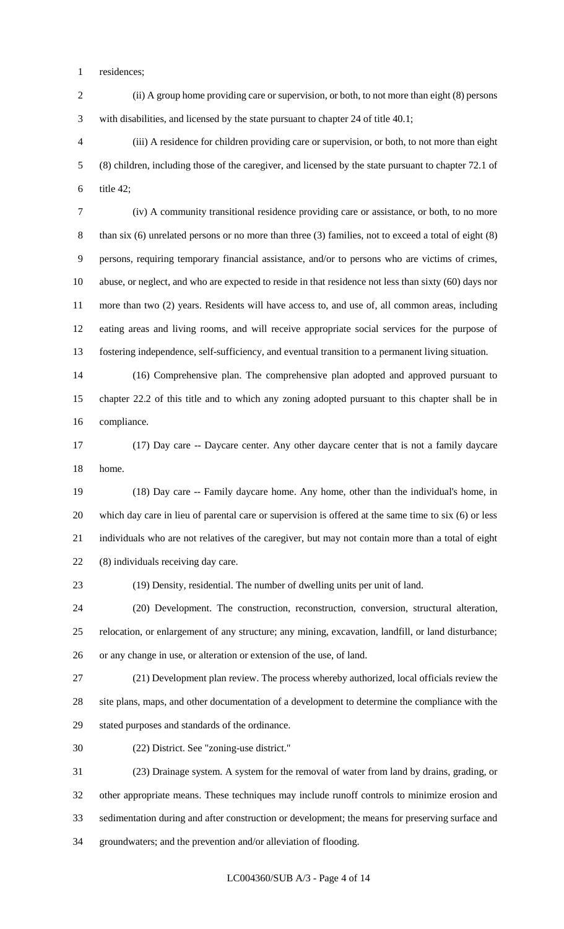residences;

 (ii) A group home providing care or supervision, or both, to not more than eight (8) persons with disabilities, and licensed by the state pursuant to chapter 24 of title 40.1;

 (iii) A residence for children providing care or supervision, or both, to not more than eight (8) children, including those of the caregiver, and licensed by the state pursuant to chapter 72.1 of title 42;

 (iv) A community transitional residence providing care or assistance, or both, to no more than six (6) unrelated persons or no more than three (3) families, not to exceed a total of eight (8) persons, requiring temporary financial assistance, and/or to persons who are victims of crimes, abuse, or neglect, and who are expected to reside in that residence not less than sixty (60) days nor more than two (2) years. Residents will have access to, and use of, all common areas, including eating areas and living rooms, and will receive appropriate social services for the purpose of fostering independence, self-sufficiency, and eventual transition to a permanent living situation.

 (16) Comprehensive plan. The comprehensive plan adopted and approved pursuant to chapter 22.2 of this title and to which any zoning adopted pursuant to this chapter shall be in compliance.

 (17) Day care -- Daycare center. Any other daycare center that is not a family daycare home.

 (18) Day care -- Family daycare home. Any home, other than the individual's home, in which day care in lieu of parental care or supervision is offered at the same time to six (6) or less individuals who are not relatives of the caregiver, but may not contain more than a total of eight (8) individuals receiving day care.

(19) Density, residential. The number of dwelling units per unit of land.

 (20) Development. The construction, reconstruction, conversion, structural alteration, relocation, or enlargement of any structure; any mining, excavation, landfill, or land disturbance; or any change in use, or alteration or extension of the use, of land.

 (21) Development plan review. The process whereby authorized, local officials review the site plans, maps, and other documentation of a development to determine the compliance with the stated purposes and standards of the ordinance.

(22) District. See "zoning-use district."

 (23) Drainage system. A system for the removal of water from land by drains, grading, or other appropriate means. These techniques may include runoff controls to minimize erosion and sedimentation during and after construction or development; the means for preserving surface and groundwaters; and the prevention and/or alleviation of flooding.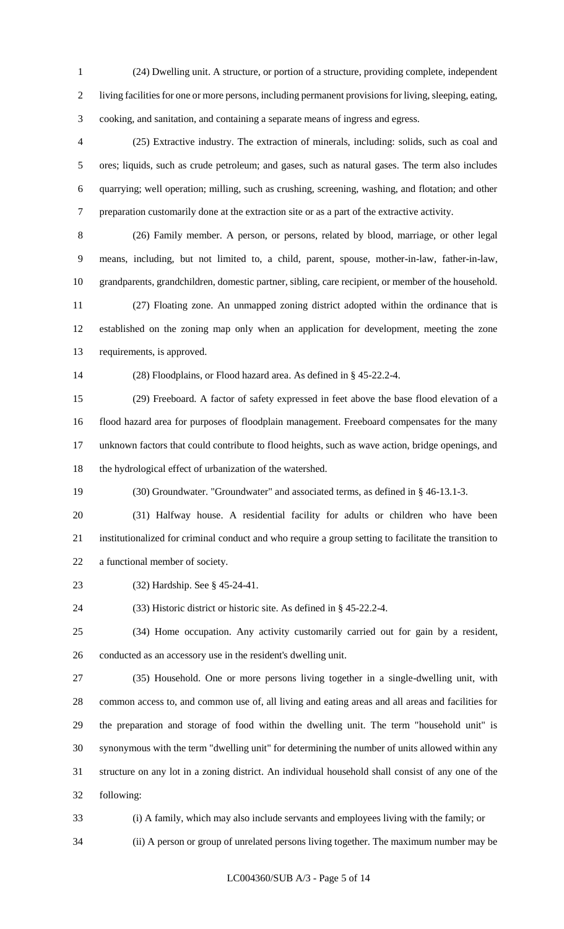(24) Dwelling unit. A structure, or portion of a structure, providing complete, independent living facilities for one or more persons, including permanent provisions for living, sleeping, eating, cooking, and sanitation, and containing a separate means of ingress and egress.

 (25) Extractive industry. The extraction of minerals, including: solids, such as coal and ores; liquids, such as crude petroleum; and gases, such as natural gases. The term also includes quarrying; well operation; milling, such as crushing, screening, washing, and flotation; and other preparation customarily done at the extraction site or as a part of the extractive activity.

 (26) Family member. A person, or persons, related by blood, marriage, or other legal means, including, but not limited to, a child, parent, spouse, mother-in-law, father-in-law, grandparents, grandchildren, domestic partner, sibling, care recipient, or member of the household.

 (27) Floating zone. An unmapped zoning district adopted within the ordinance that is established on the zoning map only when an application for development, meeting the zone requirements, is approved.

(28) Floodplains, or Flood hazard area. As defined in § 45-22.2-4.

 (29) Freeboard. A factor of safety expressed in feet above the base flood elevation of a flood hazard area for purposes of floodplain management. Freeboard compensates for the many unknown factors that could contribute to flood heights, such as wave action, bridge openings, and the hydrological effect of urbanization of the watershed.

(30) Groundwater. "Groundwater" and associated terms, as defined in § 46-13.1-3.

 (31) Halfway house. A residential facility for adults or children who have been institutionalized for criminal conduct and who require a group setting to facilitate the transition to a functional member of society.

(32) Hardship. See § 45-24-41.

(33) Historic district or historic site. As defined in § 45-22.2-4.

 (34) Home occupation. Any activity customarily carried out for gain by a resident, conducted as an accessory use in the resident's dwelling unit.

 (35) Household. One or more persons living together in a single-dwelling unit, with common access to, and common use of, all living and eating areas and all areas and facilities for the preparation and storage of food within the dwelling unit. The term "household unit" is synonymous with the term "dwelling unit" for determining the number of units allowed within any structure on any lot in a zoning district. An individual household shall consist of any one of the following:

(i) A family, which may also include servants and employees living with the family; or

(ii) A person or group of unrelated persons living together. The maximum number may be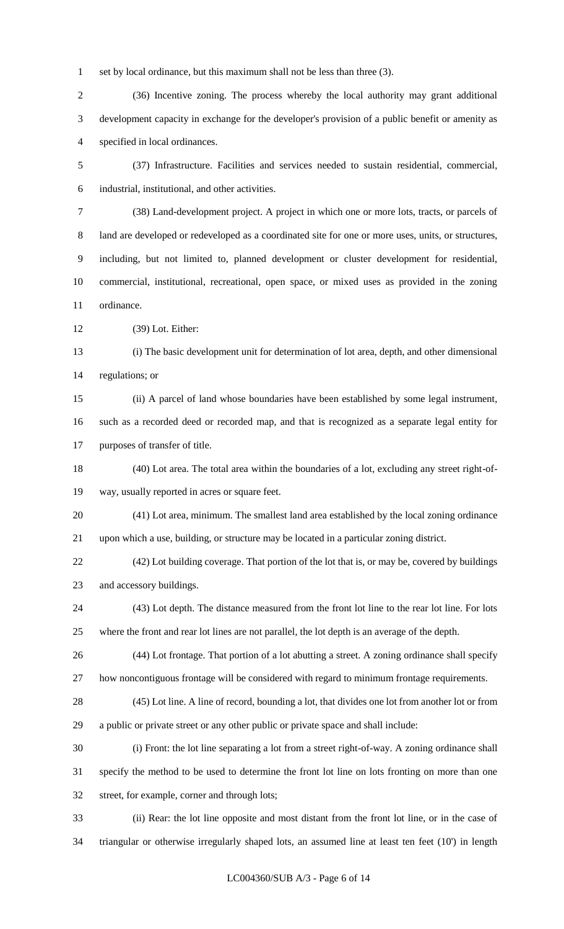set by local ordinance, but this maximum shall not be less than three (3).

 (36) Incentive zoning. The process whereby the local authority may grant additional development capacity in exchange for the developer's provision of a public benefit or amenity as specified in local ordinances.

 (37) Infrastructure. Facilities and services needed to sustain residential, commercial, industrial, institutional, and other activities.

 (38) Land-development project. A project in which one or more lots, tracts, or parcels of land are developed or redeveloped as a coordinated site for one or more uses, units, or structures, including, but not limited to, planned development or cluster development for residential, commercial, institutional, recreational, open space, or mixed uses as provided in the zoning ordinance.

(39) Lot. Either:

 (i) The basic development unit for determination of lot area, depth, and other dimensional regulations; or

 (ii) A parcel of land whose boundaries have been established by some legal instrument, such as a recorded deed or recorded map, and that is recognized as a separate legal entity for purposes of transfer of title.

 (40) Lot area. The total area within the boundaries of a lot, excluding any street right-of-way, usually reported in acres or square feet.

 (41) Lot area, minimum. The smallest land area established by the local zoning ordinance upon which a use, building, or structure may be located in a particular zoning district.

 (42) Lot building coverage. That portion of the lot that is, or may be, covered by buildings and accessory buildings.

 (43) Lot depth. The distance measured from the front lot line to the rear lot line. For lots where the front and rear lot lines are not parallel, the lot depth is an average of the depth.

 (44) Lot frontage. That portion of a lot abutting a street. A zoning ordinance shall specify how noncontiguous frontage will be considered with regard to minimum frontage requirements.

 (45) Lot line. A line of record, bounding a lot, that divides one lot from another lot or from a public or private street or any other public or private space and shall include:

 (i) Front: the lot line separating a lot from a street right-of-way. A zoning ordinance shall specify the method to be used to determine the front lot line on lots fronting on more than one street, for example, corner and through lots;

 (ii) Rear: the lot line opposite and most distant from the front lot line, or in the case of triangular or otherwise irregularly shaped lots, an assumed line at least ten feet (10') in length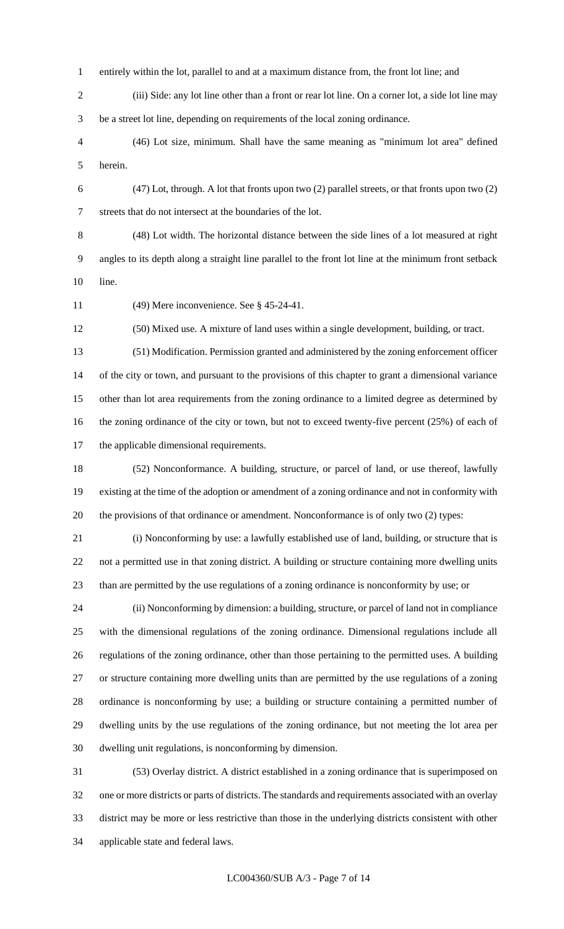- entirely within the lot, parallel to and at a maximum distance from, the front lot line; and
- (iii) Side: any lot line other than a front or rear lot line. On a corner lot, a side lot line may be a street lot line, depending on requirements of the local zoning ordinance.
- (46) Lot size, minimum. Shall have the same meaning as "minimum lot area" defined herein.
- (47) Lot, through. A lot that fronts upon two (2) parallel streets, or that fronts upon two (2) streets that do not intersect at the boundaries of the lot.
	-

 (48) Lot width. The horizontal distance between the side lines of a lot measured at right angles to its depth along a straight line parallel to the front lot line at the minimum front setback line.

(49) Mere inconvenience. See § 45-24-41.

(50) Mixed use. A mixture of land uses within a single development, building, or tract.

 (51) Modification. Permission granted and administered by the zoning enforcement officer of the city or town, and pursuant to the provisions of this chapter to grant a dimensional variance other than lot area requirements from the zoning ordinance to a limited degree as determined by 16 the zoning ordinance of the city or town, but not to exceed twenty-five percent (25%) of each of the applicable dimensional requirements.

 (52) Nonconformance. A building, structure, or parcel of land, or use thereof, lawfully existing at the time of the adoption or amendment of a zoning ordinance and not in conformity with the provisions of that ordinance or amendment. Nonconformance is of only two (2) types:

 (i) Nonconforming by use: a lawfully established use of land, building, or structure that is not a permitted use in that zoning district. A building or structure containing more dwelling units than are permitted by the use regulations of a zoning ordinance is nonconformity by use; or

 (ii) Nonconforming by dimension: a building, structure, or parcel of land not in compliance with the dimensional regulations of the zoning ordinance. Dimensional regulations include all regulations of the zoning ordinance, other than those pertaining to the permitted uses. A building or structure containing more dwelling units than are permitted by the use regulations of a zoning ordinance is nonconforming by use; a building or structure containing a permitted number of dwelling units by the use regulations of the zoning ordinance, but not meeting the lot area per dwelling unit regulations, is nonconforming by dimension.

 (53) Overlay district. A district established in a zoning ordinance that is superimposed on one or more districts or parts of districts. The standards and requirements associated with an overlay district may be more or less restrictive than those in the underlying districts consistent with other applicable state and federal laws.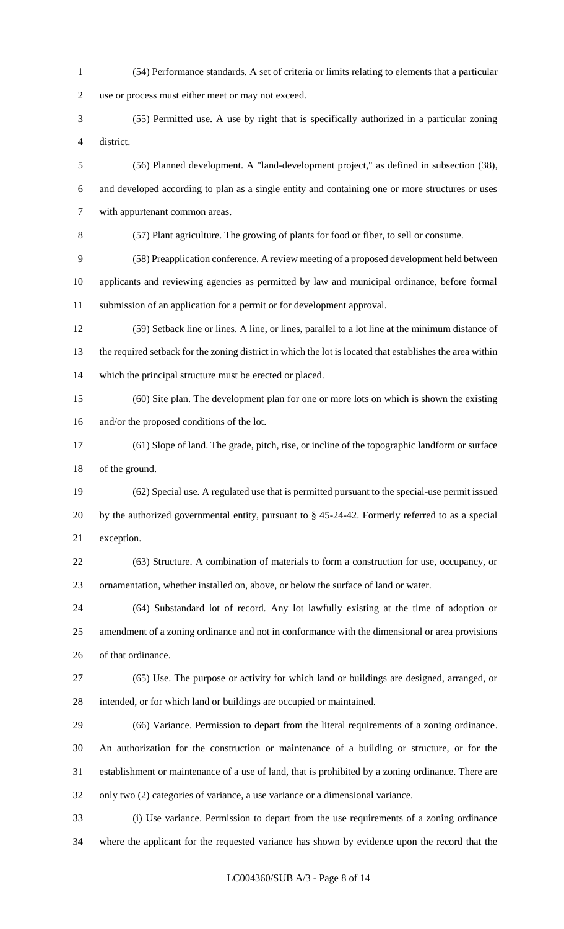(54) Performance standards. A set of criteria or limits relating to elements that a particular use or process must either meet or may not exceed. (55) Permitted use. A use by right that is specifically authorized in a particular zoning district. (56) Planned development. A "land-development project," as defined in subsection (38), and developed according to plan as a single entity and containing one or more structures or uses with appurtenant common areas. (57) Plant agriculture. The growing of plants for food or fiber, to sell or consume. (58) Preapplication conference. A review meeting of a proposed development held between applicants and reviewing agencies as permitted by law and municipal ordinance, before formal submission of an application for a permit or for development approval. (59) Setback line or lines. A line, or lines, parallel to a lot line at the minimum distance of the required setback for the zoning district in which the lot is located that establishes the area within which the principal structure must be erected or placed. (60) Site plan. The development plan for one or more lots on which is shown the existing and/or the proposed conditions of the lot. (61) Slope of land. The grade, pitch, rise, or incline of the topographic landform or surface of the ground. (62) Special use. A regulated use that is permitted pursuant to the special-use permit issued by the authorized governmental entity, pursuant to § 45-24-42. Formerly referred to as a special exception. (63) Structure. A combination of materials to form a construction for use, occupancy, or ornamentation, whether installed on, above, or below the surface of land or water. (64) Substandard lot of record. Any lot lawfully existing at the time of adoption or amendment of a zoning ordinance and not in conformance with the dimensional or area provisions of that ordinance. (65) Use. The purpose or activity for which land or buildings are designed, arranged, or intended, or for which land or buildings are occupied or maintained. (66) Variance. Permission to depart from the literal requirements of a zoning ordinance. An authorization for the construction or maintenance of a building or structure, or for the establishment or maintenance of a use of land, that is prohibited by a zoning ordinance. There are only two (2) categories of variance, a use variance or a dimensional variance. (i) Use variance. Permission to depart from the use requirements of a zoning ordinance

where the applicant for the requested variance has shown by evidence upon the record that the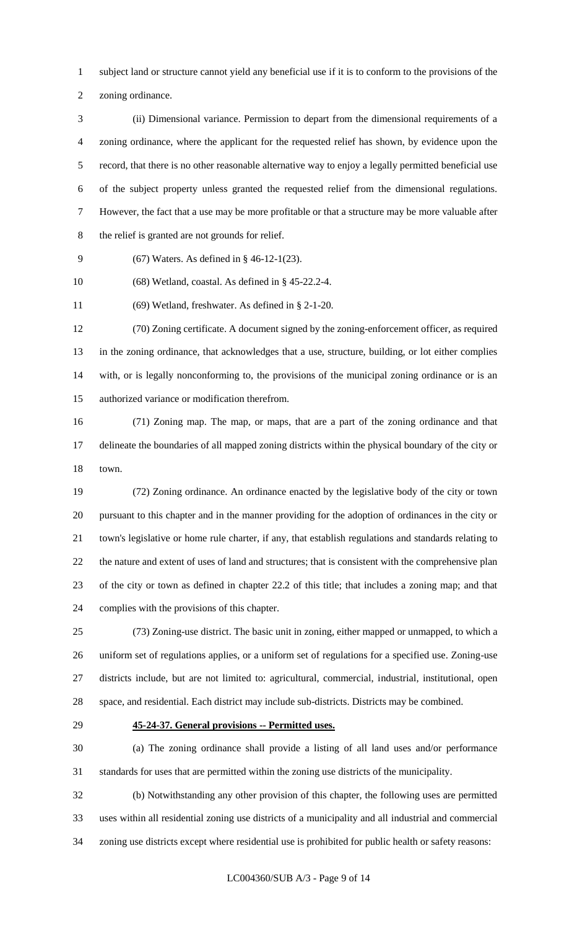subject land or structure cannot yield any beneficial use if it is to conform to the provisions of the

zoning ordinance.

 (ii) Dimensional variance. Permission to depart from the dimensional requirements of a zoning ordinance, where the applicant for the requested relief has shown, by evidence upon the record, that there is no other reasonable alternative way to enjoy a legally permitted beneficial use of the subject property unless granted the requested relief from the dimensional regulations. However, the fact that a use may be more profitable or that a structure may be more valuable after the relief is granted are not grounds for relief.

(67) Waters. As defined in § 46-12-1(23).

(68) Wetland, coastal. As defined in § 45-22.2-4.

(69) Wetland, freshwater. As defined in § 2-1-20.

 (70) Zoning certificate. A document signed by the zoning-enforcement officer, as required in the zoning ordinance, that acknowledges that a use, structure, building, or lot either complies with, or is legally nonconforming to, the provisions of the municipal zoning ordinance or is an authorized variance or modification therefrom.

 (71) Zoning map. The map, or maps, that are a part of the zoning ordinance and that delineate the boundaries of all mapped zoning districts within the physical boundary of the city or town.

 (72) Zoning ordinance. An ordinance enacted by the legislative body of the city or town pursuant to this chapter and in the manner providing for the adoption of ordinances in the city or town's legislative or home rule charter, if any, that establish regulations and standards relating to the nature and extent of uses of land and structures; that is consistent with the comprehensive plan of the city or town as defined in chapter 22.2 of this title; that includes a zoning map; and that complies with the provisions of this chapter.

 (73) Zoning-use district. The basic unit in zoning, either mapped or unmapped, to which a uniform set of regulations applies, or a uniform set of regulations for a specified use. Zoning-use districts include, but are not limited to: agricultural, commercial, industrial, institutional, open space, and residential. Each district may include sub-districts. Districts may be combined.

#### **45-24-37. General provisions -- Permitted uses.**

 (a) The zoning ordinance shall provide a listing of all land uses and/or performance standards for uses that are permitted within the zoning use districts of the municipality.

 (b) Notwithstanding any other provision of this chapter, the following uses are permitted uses within all residential zoning use districts of a municipality and all industrial and commercial zoning use districts except where residential use is prohibited for public health or safety reasons: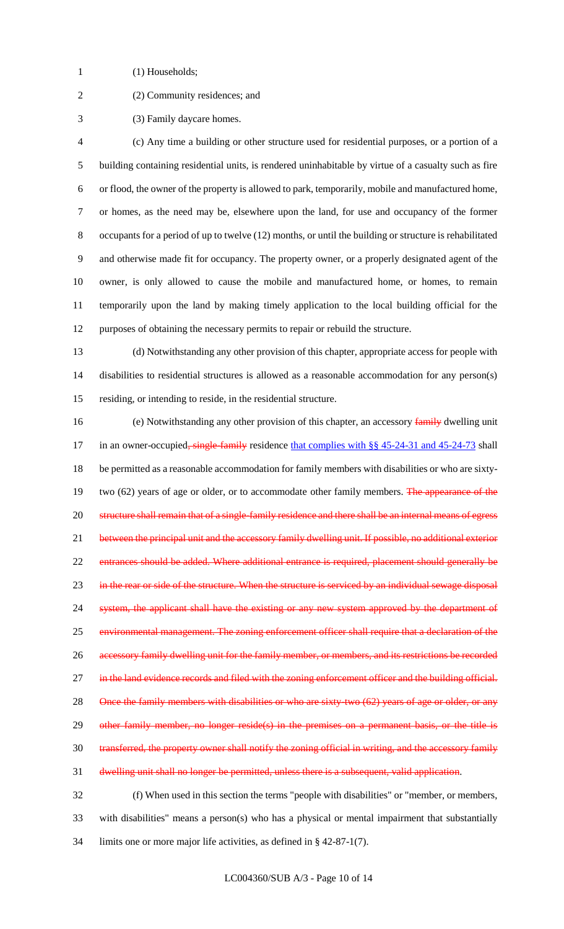- 1 (1) Households;
- 
- (2) Community residences; and
- (3) Family daycare homes.

 (c) Any time a building or other structure used for residential purposes, or a portion of a building containing residential units, is rendered uninhabitable by virtue of a casualty such as fire or flood, the owner of the property is allowed to park, temporarily, mobile and manufactured home, or homes, as the need may be, elsewhere upon the land, for use and occupancy of the former occupants for a period of up to twelve (12) months, or until the building or structure is rehabilitated and otherwise made fit for occupancy. The property owner, or a properly designated agent of the owner, is only allowed to cause the mobile and manufactured home, or homes, to remain temporarily upon the land by making timely application to the local building official for the purposes of obtaining the necessary permits to repair or rebuild the structure.

 (d) Notwithstanding any other provision of this chapter, appropriate access for people with disabilities to residential structures is allowed as a reasonable accommodation for any person(s) residing, or intending to reside, in the residential structure.

16 (e) Notwithstanding any other provision of this chapter, an accessory family dwelling unit 17 in an owner-occupied, single-family residence that complies with §§ 45-24-31 and 45-24-73 shall be permitted as a reasonable accommodation for family members with disabilities or who are sixty-19 two (62) years of age or older, or to accommodate other family members. The appearance of the 20 structure shall remain that of a single-family residence and there shall be an internal means of egress 21 between the principal unit and the accessory family dwelling unit. If possible, no additional exterior 22 entrances should be added. Where additional entrance is required, placement should generally be 23 in the rear or side of the structure. When the structure is serviced by an individual sewage disposal system, the applicant shall have the existing or any new system approved by the department of 25 environmental management. The zoning enforcement officer shall require that a declaration of the accessory family dwelling unit for the family member, or members, and its restrictions be recorded 27 in the land evidence records and filed with the zoning enforcement officer and the building official. 28 Once the family members with disabilities or who are sixty-two (62) years of age or older, or any 29 other family member, no longer reside(s) in the premises on a permanent basis, or the title is transferred, the property owner shall notify the zoning official in writing, and the accessory family dwelling unit shall no longer be permitted, unless there is a subsequent, valid application.

 (f) When used in this section the terms "people with disabilities" or "member, or members, with disabilities" means a person(s) who has a physical or mental impairment that substantially limits one or more major life activities, as defined in § 42-87-1(7).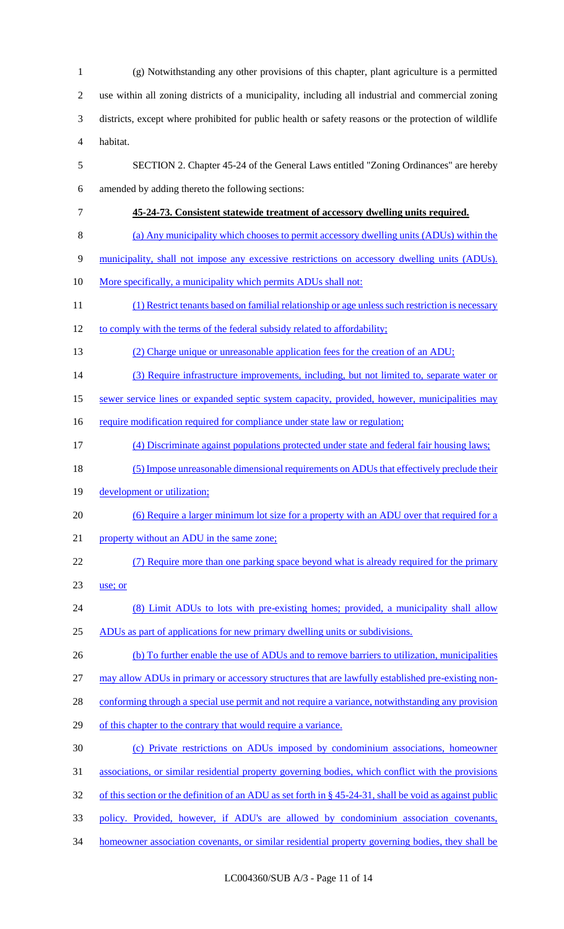(g) Notwithstanding any other provisions of this chapter, plant agriculture is a permitted use within all zoning districts of a municipality, including all industrial and commercial zoning districts, except where prohibited for public health or safety reasons or the protection of wildlife habitat. SECTION 2. Chapter 45-24 of the General Laws entitled "Zoning Ordinances" are hereby amended by adding thereto the following sections: **45-24-73. Consistent statewide treatment of accessory dwelling units required.** (a) Any municipality which chooses to permit accessory dwelling units (ADUs) within the municipality, shall not impose any excessive restrictions on accessory dwelling units (ADUs). 10 More specifically, a municipality which permits ADUs shall not: (1) Restrict tenants based on familial relationship or age unless such restriction is necessary 12 to comply with the terms of the federal subsidy related to affordability; (2) Charge unique or unreasonable application fees for the creation of an ADU; 14 (3) Require infrastructure improvements, including, but not limited to, separate water or sewer service lines or expanded septic system capacity, provided, however, municipalities may 16 require modification required for compliance under state law or regulation; (4) Discriminate against populations protected under state and federal fair housing laws; (5) Impose unreasonable dimensional requirements on ADUs that effectively preclude their 19 development or utilization; (6) Require a larger minimum lot size for a property with an ADU over that required for a 21 property without an ADU in the same zone; (7) Require more than one parking space beyond what is already required for the primary use; or 24 (8) Limit ADUs to lots with pre-existing homes; provided, a municipality shall allow ADUs as part of applications for new primary dwelling units or subdivisions. 26 (b) To further enable the use of ADUs and to remove barriers to utilization, municipalities may allow ADUs in primary or accessory structures that are lawfully established pre-existing non-28 conforming through a special use permit and not require a variance, notwithstanding any provision 29 of this chapter to the contrary that would require a variance. (c) Private restrictions on ADUs imposed by condominium associations, homeowner associations, or similar residential property governing bodies, which conflict with the provisions 32 of this section or the definition of an ADU as set forth in § 45-24-31, shall be void as against public policy. Provided, however, if ADU's are allowed by condominium association covenants, 34 homeowner association covenants, or similar residential property governing bodies, they shall be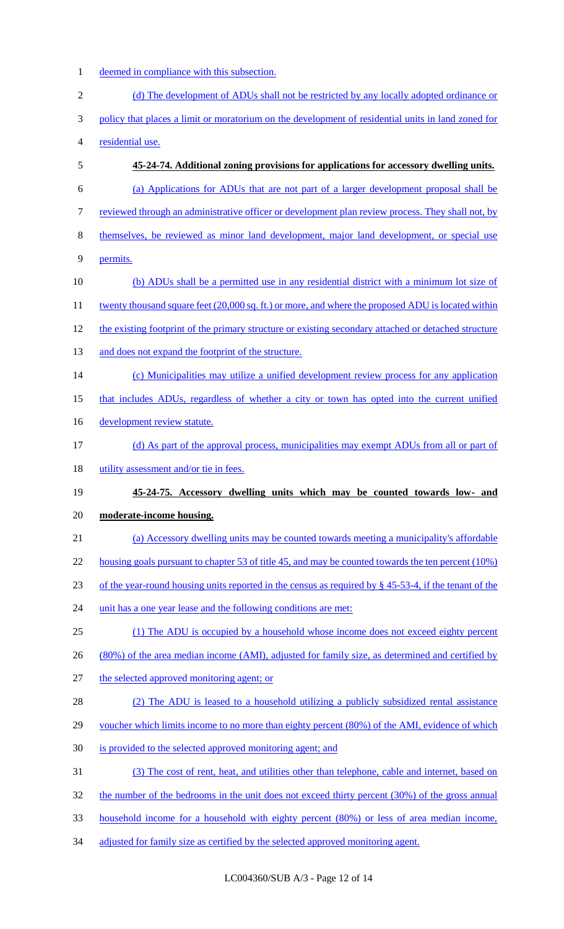- deemed in compliance with this subsection.
- 2 (d) The development of ADUs shall not be restricted by any locally adopted ordinance or policy that places a limit or moratorium on the development of residential units in land zoned for residential use. **45-24-74. Additional zoning provisions for applications for accessory dwelling units.** (a) Applications for ADUs that are not part of a larger development proposal shall be 7 reviewed through an administrative officer or development plan review process. They shall not, by themselves, be reviewed as minor land development, major land development, or special use permits. (b) ADUs shall be a permitted use in any residential district with a minimum lot size of 11 twenty thousand square feet (20,000 sq. ft.) or more, and where the proposed ADU is located within the existing footprint of the primary structure or existing secondary attached or detached structure 13 and does not expand the footprint of the structure. 14 (c) Municipalities may utilize a unified development review process for any application that includes ADUs, regardless of whether a city or town has opted into the current unified 16 development review statute. (d) As part of the approval process, municipalities may exempt ADUs from all or part of 18 utility assessment and/or tie in fees. **45-24-75. Accessory dwelling units which may be counted towards low- and moderate-income housing.** (a) Accessory dwelling units may be counted towards meeting a municipality's affordable 22 housing goals pursuant to chapter 53 of title 45, and may be counted towards the ten percent (10%) of the year-round housing units reported in the census as required by § 45-53-4, if the tenant of the 24 unit has a one year lease and the following conditions are met: (1) The ADU is occupied by a household whose income does not exceed eighty percent (80%) of the area median income (AMI), adjusted for family size, as determined and certified by the selected approved monitoring agent; or (2) The ADU is leased to a household utilizing a publicly subsidized rental assistance voucher which limits income to no more than eighty percent (80%) of the AMI, evidence of which is provided to the selected approved monitoring agent; and (3) The cost of rent, heat, and utilities other than telephone, cable and internet, based on 32 the number of the bedrooms in the unit does not exceed thirty percent (30%) of the gross annual household income for a household with eighty percent (80%) or less of area median income, 34 adjusted for family size as certified by the selected approved monitoring agent.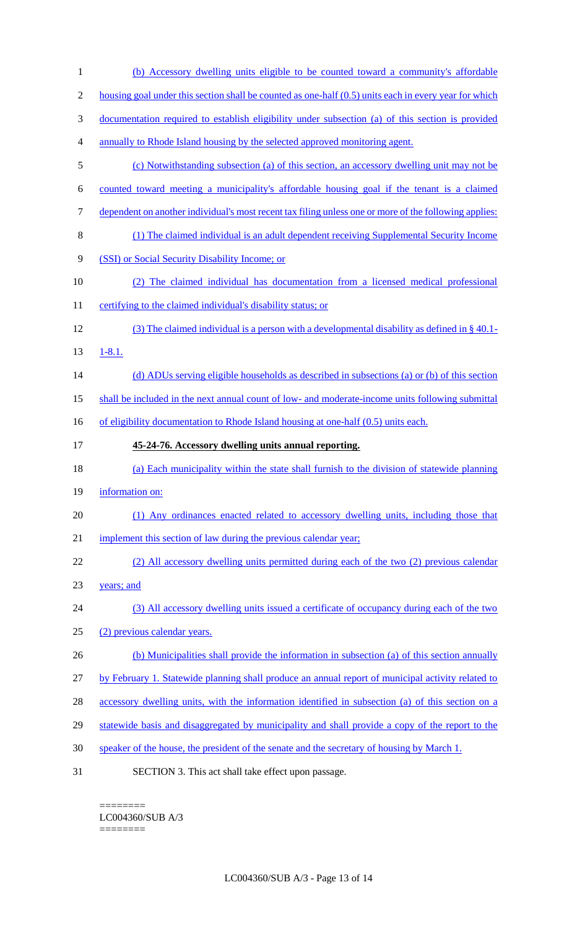| $\mathbf{1}$   | (b) Accessory dwelling units eligible to be counted toward a community's affordable                     |
|----------------|---------------------------------------------------------------------------------------------------------|
| $\mathbf{2}$   | housing goal under this section shall be counted as one-half (0.5) units each in every year for which   |
| $\mathfrak{Z}$ | <u>documentation required to establish eligibility under subsection (a) of this section is provided</u> |
| 4              | annually to Rhode Island housing by the selected approved monitoring agent.                             |
| 5              | (c) Notwithstanding subsection (a) of this section, an accessory dwelling unit may not be               |
| 6              | counted toward meeting a municipality's affordable housing goal if the tenant is a claimed              |
| 7              | dependent on another individual's most recent tax filing unless one or more of the following applies:   |
| $8\,$          | (1) The claimed individual is an adult dependent receiving Supplemental Security Income                 |
| 9              | (SSI) or Social Security Disability Income; or                                                          |
| 10             | (2) The claimed individual has documentation from a licensed medical professional                       |
| 11             | certifying to the claimed individual's disability status; or                                            |
| 12             | (3) The claimed individual is a person with a developmental disability as defined in $\S$ 40.1-         |
| 13             | $1 - 8.1.$                                                                                              |
| 14             | (d) ADUs serving eligible households as described in subsections (a) or (b) of this section             |
| 15             | shall be included in the next annual count of low- and moderate-income units following submittal        |
|                |                                                                                                         |
| 16             | of eligibility documentation to Rhode Island housing at one-half (0.5) units each.                      |
| 17             | 45-24-76. Accessory dwelling units annual reporting.                                                    |
| 18             | (a) Each municipality within the state shall furnish to the division of statewide planning              |
| 19             | information on:                                                                                         |
| 20             | (1) Any ordinances enacted related to accessory dwelling units, including those that                    |
| 21             | implement this section of law during the previous calendar year;                                        |
| 22             | (2) All accessory dwelling units permitted during each of the two (2) previous calendar                 |
| 23             | years; and                                                                                              |
| 24             | (3) All accessory dwelling units issued a certificate of occupancy during each of the two               |
| 25             | (2) previous calendar years.                                                                            |
| 26             | (b) Municipalities shall provide the information in subsection (a) of this section annually             |
| 27             | by February 1. Statewide planning shall produce an annual report of municipal activity related to       |
| 28             | accessory dwelling units, with the information identified in subsection (a) of this section on a        |
| 29             | statewide basis and disaggregated by municipality and shall provide a copy of the report to the         |
| 30             | speaker of the house, the president of the senate and the secretary of housing by March 1.              |

LC004360/SUB A/3 ========

 $=$